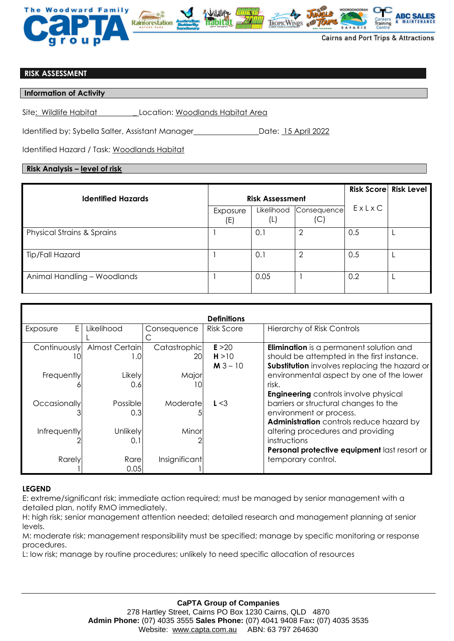

## **RISK ASSESSMENT**

### **Information of Activity**

Site: Wildlife Habitat \_ Location: Woodlands Habitat Area

Identified by: Sybella Salter, Assistant Manager **National Contact Laterate:** 15 April 2022

Identified Hazard / Task: Woodlands Habitat

# **Risk Analysis – level of risk**

|                                       |                        |                   |                    |       | <b>Risk Score Risk Level</b> |
|---------------------------------------|------------------------|-------------------|--------------------|-------|------------------------------|
| <b>Identified Hazards</b>             | <b>Risk Assessment</b> |                   |                    |       |                              |
|                                       | Exposure<br>(E)        | Likelihood<br>(L) | Consequence<br>(C) | ExLxC |                              |
| <b>Physical Strains &amp; Sprains</b> |                        | 0.1               | 2                  | 0.5   |                              |
| Tip/Fall Hazard                       |                        | 0.1               |                    | 0.5   |                              |
| Animal Handling - Woodlands           |                        | 0.05              |                    | 0.2   |                              |

| <b>Definitions</b> |                 |               |                   |                                                |  |  |  |  |
|--------------------|-----------------|---------------|-------------------|------------------------------------------------|--|--|--|--|
| E.<br>Exposure     | Likelihood      | Consequence   | <b>Risk Score</b> | <b>Hierarchy of Risk Controls</b>              |  |  |  |  |
|                    |                 |               |                   |                                                |  |  |  |  |
| Continuously       | Almost Certain  | Catastrophic  | E > 20            | <b>Elimination</b> is a permanent solution and |  |  |  |  |
| 10                 | 1.0             | 201           | H > 10            | should be attempted in the first instance.     |  |  |  |  |
|                    |                 |               | $M3 - 10$         | Substitution involves replacing the hazard or  |  |  |  |  |
| Frequently         | Likely          | Major         |                   | environmental aspect by one of the lower       |  |  |  |  |
|                    | 0.6             | 10            |                   | risk.                                          |  |  |  |  |
|                    |                 |               |                   | <b>Engineering</b> controls involve physical   |  |  |  |  |
| Occasionally       | Possible        | Moderate      | L < 3             | barriers or structural changes to the          |  |  |  |  |
|                    | 0.3             |               |                   | environment or process.                        |  |  |  |  |
|                    |                 |               |                   | Administration controls reduce hazard by       |  |  |  |  |
| Infrequently       | <b>Unlikely</b> | Minor         |                   | altering procedures and providing              |  |  |  |  |
|                    | 0.1             |               |                   | instructions                                   |  |  |  |  |
|                    |                 |               |                   | Personal protective equipment last resort or   |  |  |  |  |
| Rarely             | Rare            | Insignificant |                   | temporary control.                             |  |  |  |  |
|                    | 0.05            |               |                   |                                                |  |  |  |  |

# **LEGEND**

E: extreme/significant risk; immediate action required; must be managed by senior management with a detailed plan, notify RMO immediately.

H: high risk; senior management attention needed; detailed research and management planning at senior levels.

M: moderate risk; management responsibility must be specified; manage by specific monitoring or response procedures.

L: low risk; manage by routine procedures; unlikely to need specific allocation of resources